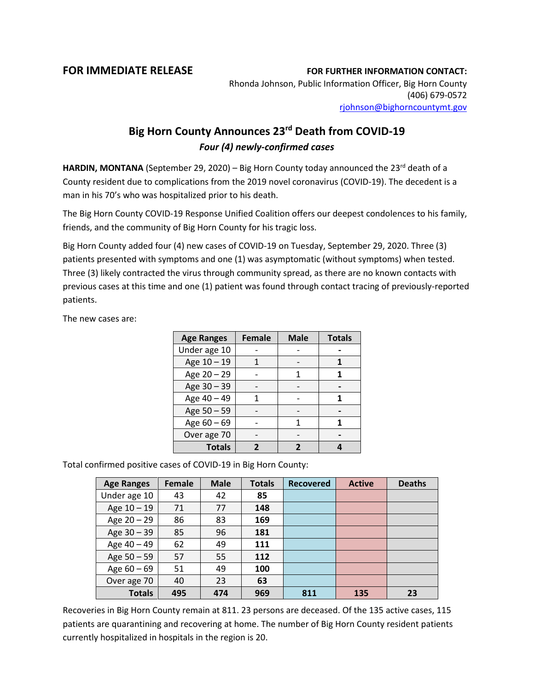## **FOR IMMEDIATE RELEASE FOR FURTHER INFORMATION CONTACT:**

Rhonda Johnson, Public Information Officer, Big Horn County (406) 679-0572 [rjohnson@bighorncountymt.gov](mailto:rjohnson@bighorncountymt.gov)

## **Big Horn County Announces 23rd Death from COVID-19** *Four (4) newly-confirmed cases*

HARDIN, MONTANA (September 29, 2020) – Big Horn County today announced the 23<sup>rd</sup> death of a County resident due to complications from the 2019 novel coronavirus (COVID-19). The decedent is a man in his 70's who was hospitalized prior to his death.

The Big Horn County COVID-19 Response Unified Coalition offers our deepest condolences to his family, friends, and the community of Big Horn County for his tragic loss.

Big Horn County added four (4) new cases of COVID-19 on Tuesday, September 29, 2020. Three (3) patients presented with symptoms and one (1) was asymptomatic (without symptoms) when tested. Three (3) likely contracted the virus through community spread, as there are no known contacts with previous cases at this time and one (1) patient was found through contact tracing of previously-reported patients.

The new cases are:

| <b>Age Ranges</b> | <b>Female</b> | <b>Male</b> | <b>Totals</b> |  |
|-------------------|---------------|-------------|---------------|--|
| Under age 10      |               |             |               |  |
| Age 10 - 19       |               |             |               |  |
| Age 20 - 29       |               |             |               |  |
| Age 30 - 39       |               |             |               |  |
| Age 40 - 49       |               |             |               |  |
| Age 50 - 59       |               |             |               |  |
| Age 60 - 69       |               |             |               |  |
| Over age 70       |               |             |               |  |
| <b>Totals</b>     |               |             |               |  |

Total confirmed positive cases of COVID-19 in Big Horn County:

| <b>Age Ranges</b> | <b>Female</b> | <b>Male</b> | <b>Totals</b> | <b>Recovered</b> | <b>Active</b> | <b>Deaths</b> |
|-------------------|---------------|-------------|---------------|------------------|---------------|---------------|
| Under age 10      | 43            | 42          | 85            |                  |               |               |
| Age 10 - 19       | 71            | 77          | 148           |                  |               |               |
| Age $20 - 29$     | 86            | 83          | 169           |                  |               |               |
| Age 30 - 39       | 85            | 96          | 181           |                  |               |               |
| Age 40 - 49       | 62            | 49          | 111           |                  |               |               |
| Age $50 - 59$     | 57            | 55          | 112           |                  |               |               |
| Age $60 - 69$     | 51            | 49          | 100           |                  |               |               |
| Over age 70       | 40            | 23          | 63            |                  |               |               |
| <b>Totals</b>     | 495           | 474         | 969           | 811              | 135           | 23            |

Recoveries in Big Horn County remain at 811. 23 persons are deceased. Of the 135 active cases, 115 patients are quarantining and recovering at home. The number of Big Horn County resident patients currently hospitalized in hospitals in the region is 20.